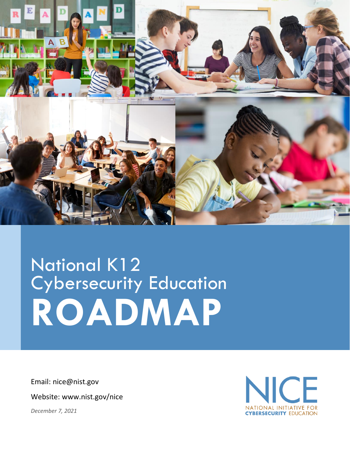

# National K12 Cybersecurity Education **ROADMAP**

Email: nice@nist.gov

Website: www.nist.gov/nice

*December 7, 2021*

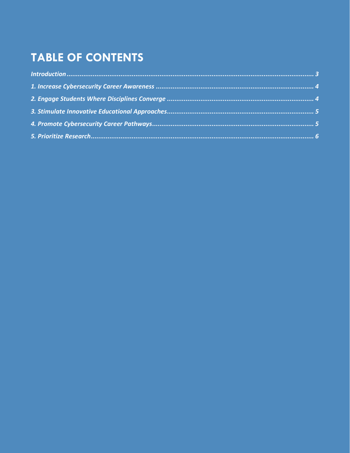## **TABLE OF CONTENTS**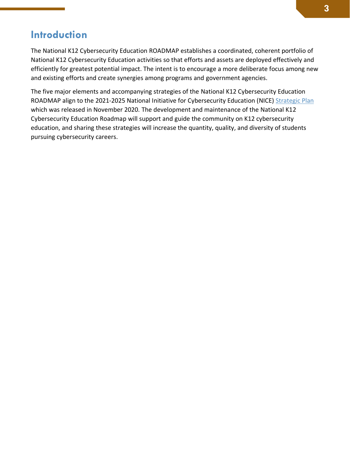## <span id="page-2-0"></span>**Introduction**

The National K12 Cybersecurity Education ROADMAP establishes a coordinated, coherent portfolio of National K12 Cybersecurity Education activities so that efforts and assets are deployed effectively and efficiently for greatest potential impact. The intent is to encourage a more deliberate focus among new and existing efforts and create synergies among programs and government agencies.

The five major elements and accompanying strategies of the National K12 Cybersecurity Education ROADMAP align to the 2021-2025 National Initiative for Cybersecurity Education (NICE) [Strategic Plan](https://www.nist.gov/itl/applied-cybersecurity/nice/about/strategic-plan) which was released in November 2020. The development and maintenance of the National K12 Cybersecurity Education Roadmap will support and guide the community on K12 cybersecurity education, and sharing these strategies will increase the quantity, quality, and diversity of students pursuing cybersecurity careers.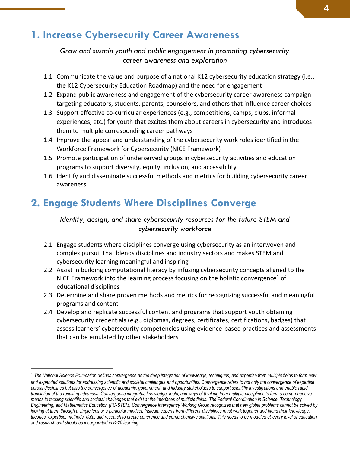#### <span id="page-3-0"></span>**1. Increase Cybersecurity Career Awareness**

*Grow and sustain youth and public engagement in promoting cybersecurity career awareness and exploration*

- 1.1 Communicate the value and purpose of a national K12 cybersecurity education strategy (i.e., the K12 Cybersecurity Education Roadmap) and the need for engagement
- 1.2 Expand public awareness and engagement of the cybersecurity career awareness campaign targeting educators, students, parents, counselors, and others that influence career choices
- 1.3 Support effective co-curricular experiences (e.g., competitions, camps, clubs, informal experiences, etc.) for youth that excites them about careers in cybersecurity and introduces them to multiple corresponding career pathways
- 1.4 Improve the appeal and understanding of the cybersecurity work roles identified in the Workforce Framework for Cybersecurity (NICE Framework)
- 1.5 Promote participation of underserved groups in cybersecurity activities and education programs to support diversity, equity, inclusion, and accessibility
- 1.6 Identify and disseminate successful methods and metrics for building cybersecurity career awareness

### <span id="page-3-1"></span>**2. Engage Students Where Disciplines Converge**

#### *Identify, design, and share cybersecurity resources for the future STEM and cybersecurity workforce*

- 2.1 Engage students where disciplines converge using cybersecurity as an interwoven and complex pursuit that blends disciplines and industry sectors and makes STEM and cybersecurity learning meaningful and inspiring
- 2.2 Assist in building computational literacy by infusing cybersecurity concepts aligned to the NICE Framework into the learning process focusing on the holistic convergence<sup>1</sup> of educational disciplines
- 2.3 Determine and share proven methods and metrics for recognizing successful and meaningful programs and content
- 2.4 Develop and replicate successful content and programs that support youth obtaining cybersecurity credentials (e.g., diplomas, degrees, certificates, certifications, badges) that assess learners' cybersecurity competencies using evidence-based practices and assessments that can be emulated by other stakeholders

<sup>1</sup> *The National Science Foundation defines convergence as the deep integration of knowledge, techniques, and expertise from multiple fields to form new and expanded solutions for addressing scientific and societal challenges and opportunities. Convergence refers to not only the convergence of expertise across disciplines but also the convergence of academic, government, and industry stakeholders to support scientific investigations and enable rapid translation of the resulting advances. Convergence integrates knowledge, tools, and ways of thinking from multiple disciplines to form a comprehensive means to tackling scientific and societal challenges that exist at the interfaces of multiple fields. The Federal Coordination in Science, Technology, Engineering, and Mathematics Education (FC-STEM) Convergence Interagency Working Group recognizes that new global problems cannot be solved by looking at them through a single lens or a particular mindset. Instead, experts from different disciplines must work together and blend their knowledge, theories, expertise, methods, data, and research to create coherence and comprehensive solutions. This needs to be modeled at every level of education and research and should be incorporated in K-20 learning.*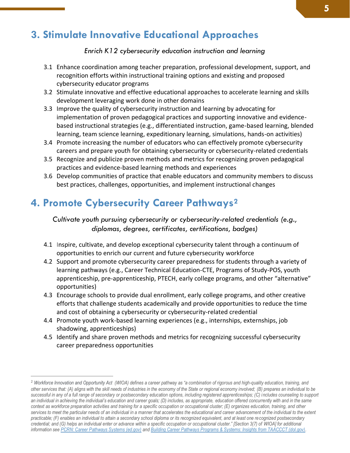## <span id="page-4-0"></span>**3. Stimulate Innovative Educational Approaches**

#### *Enrich K12 cybersecurity education instruction and learning*

- 3.1 Enhance coordination among teacher preparation, professional development, support, and recognition efforts within instructional training options and existing and proposed cybersecurity educator programs
- 3.2 Stimulate innovative and effective educational approaches to accelerate learning and skills development leveraging work done in other domains
- 3.3 Improve the quality of cybersecurity instruction and learning by advocating for implementation of proven pedagogical practices and supporting innovative and evidencebased instructional strategies (e.g., differentiated instruction, game-based learning, blended learning, team science learning, expeditionary learning, simulations, hands-on activities)
- 3.4 Promote increasing the number of educators who can effectively promote cybersecurity careers and prepare youth for obtaining cybersecurity or cybersecurity-related credentials
- 3.5 Recognize and publicize proven methods and metrics for recognizing proven pedagogical practices and evidence-based learning methods and experiences
- 3.6 Develop communities of practice that enable educators and community members to discuss best practices, challenges, opportunities, and implement instructional changes

### <span id="page-4-1"></span>**4. Promote Cybersecurity Career Pathways<sup>2</sup>**

*Cultivate youth pursuing cybersecurity or cybersecurity-related credentials (e.g., diplomas, degrees, certificates, certifications, badges)*

- 4.1 Inspire, cultivate, and develop exceptional cybersecurity talent through a continuum of opportunities to enrich our current and future cybersecurity workforce
- 4.2 Support and promote cybersecurity career preparedness for students through a variety of learning pathways (e.g., Career Technical Education-CTE, Programs of Study-POS, youth apprenticeship, pre-apprenticeship, PTECH, early college programs, and other "alternative" opportunities)
- 4.3 Encourage schools to provide dual enrollment, early college programs, and other creative efforts that challenge students academically and provide opportunities to reduce the time and cost of obtaining a cybersecurity or cybersecurity-related credential
- 4.4 Promote youth work-based learning experiences (e.g., internships, externships, job shadowing, apprenticeships)
- 4.5 Identify and share proven methods and metrics for recognizing successful cybersecurity career preparedness opportunities

<sup>2</sup> *Workforce Innovation and Opportunity Act (WIOA) defines a career pathway as "a combination of rigorous and high-quality education, training, and other services that: (A) aligns with the skill needs of industries in the economy of the State or regional economy involved; (B) prepares an individual to be successful in any of a full range of secondary or postsecondary education options, including registered apprenticeships; (C) includes counseling to support an individual in achieving the individual's education and career goals; (D) includes, as appropriate, education offered concurrently with and in the same context as workforce preparation activities and training for a specific occupation or occupational cluster; (E) organizes education, training, and other*  services to meet the particular needs of an individual in a manner that accelerates the educational and career advancement of the individual to the extent *practicable; (F) enables an individual to attain a secondary school diploma or its recognized equivalent, and at least one recognized postsecondary credential; and (G) helps an individual enter or advance within a specific occupation or occupational cluster." [Section 3(7) of WIOA] for additional information se[e PCRN: Career Pathways Systems \(ed.gov\)](https://cte.ed.gov/initiatives/career-pathways-systems#:~:text=Fundamentally%2C%20a%20Career%20Pathways%20System%20is%20about%20the,education%20services%20provided%20within%20and%20across%20program%20providers.) and [Building Career Pathways Programs & Systems: Insights from TAACCCT \(dol.gov\).](https://www.dol.gov/sites/dolgov/files/OASP/evaluation/pdf/ETA_TAACCCTBuildingCareerPathways_Brief_Sep2020.pdf#:~:text=not%20present%20%20%20WIOA%20Definition%3A%20Career%20Pathways,improvements%20%20...%20%201%20more%20rows%20)*